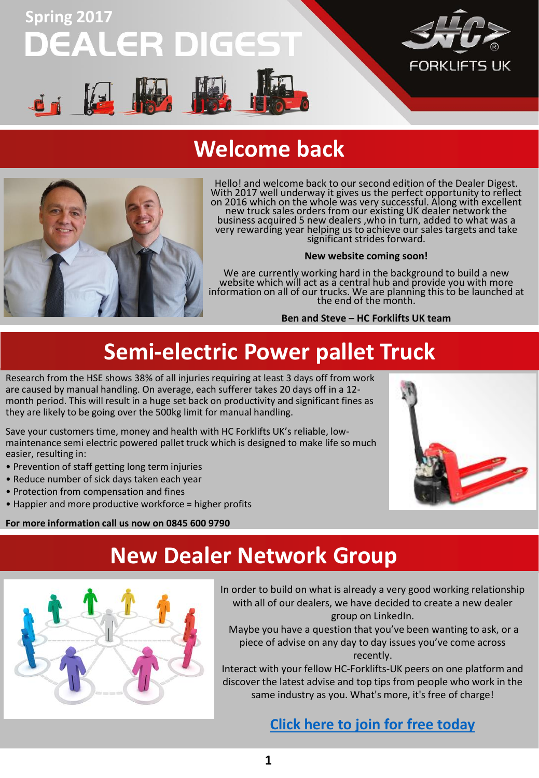

#### **Welcome back**



Hello! and welcome back to our second edition of the Dealer Digest. With 2017 well underway it gives us the perfect opportunity to reflect on 2016 which on the whole was very successful. Along with excellent new truck sales orders from our existing UK dealer network the business acquired 5 new dealers ,who in turn, added to what was a very rewarding year helping us to achieve our sales targets and take significant strides forward.

#### **New website coming soon!**

We are currently working hard in the background to build a new website which will act as a central hub and provide you with more information on all of our trucks. We are planning this to be launched at the end of the month.

**Ben and Steve – HC Forklifts UK team**

# **Semi-electric Power pallet Truck**

Research from the HSE shows 38% of all injuries requiring at least 3 days off from work are caused by manual handling. On average, each sufferer takes 20 days off in a 12 month period. This will result in a huge set back on productivity and significant fines as they are likely to be going over the 500kg limit for manual handling.

Save your customers time, money and health with HC Forklifts UK's reliable, lowmaintenance semi electric powered pallet truck which is designed to make life so much easier, resulting in:

- Prevention of staff getting long term injuries
- Reduce number of sick days taken each year
- Protection from compensation and fines
- Happier and more productive workforce = higher profits

**For more information call us now on 0845 600 9790**



#### **New Dealer Network Group**



In order to build on what is already a very good working relationship with all of our dealers, we have decided to create a new dealer group on LinkedIn.

Maybe you have a question that you've been wanting to ask, or a piece of advise on any day to day issues you've come across recently.

Interact with your fellow HC-Forklifts-UK peers on one platform and discover the latest advise and top tips from people who work in the same industry as you. What's more, it's free of charge!

#### **[Click here to join for free today](https://www.linkedin.com/groups/13514926)**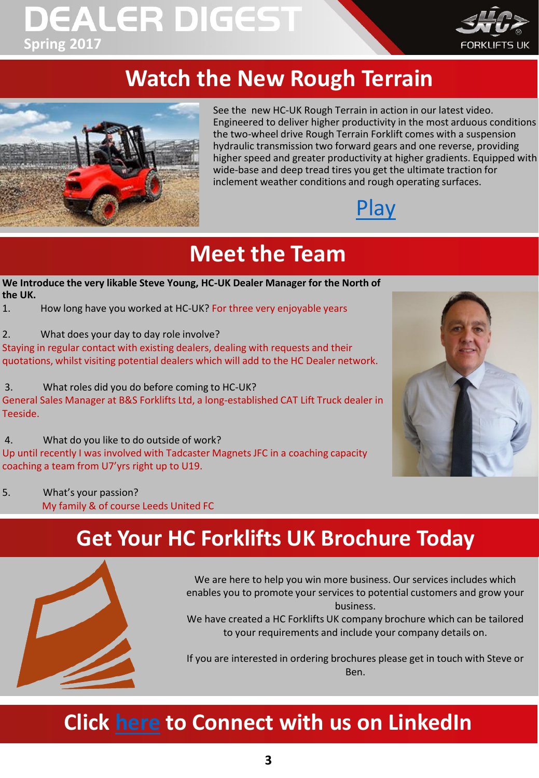# **DEALER DIGEST Spring 2017**



## **Watch the New Rough Terrain**



See the new HC-UK Rough Terrain in action in our latest video. Engineered to deliver higher productivity in the most arduous conditions the two-wheel drive Rough Terrain Forklift comes with a suspension hydraulic transmission two forward gears and one reverse, providing higher speed and greater productivity at higher gradients. Equipped with wide-base and deep tread tires you get the ultimate traction for inclement weather conditions and rough operating surfaces.



## **Meet the Team**

- **We Introduce the very likable Steve Young, HC-UK Dealer Manager for the North of the UK.**
- 1. How long have you worked at HC-UK? For three very enjoyable years
- 2. What does your day to day role involve?

Staying in regular contact with existing dealers, dealing with requests and their quotations, whilst visiting potential dealers which will add to the HC Dealer network.

3. What roles did you do before coming to HC-UK? General Sales Manager at B&S Forklifts Ltd, a long-established CAT Lift Truck dealer in Teeside.

4. What do you like to do outside of work? Up until recently I was involved with Tadcaster Magnets JFC in a coaching capacity coaching a team from U7'yrs right up to U19.



5. What's your passion? My family & of course Leeds United FC

### **Get Your HC Forklifts UK Brochure Today**



We are here to help you win more business. Our services includes which enables you to promote your services to potential customers and grow your business.

We have created a HC Forklifts UK company brochure which can be tailored to your requirements and include your company details on.

If you are interested in ordering brochures please get in touch with Steve or Ben.

### **Click [here](https://www.linkedin.com/company/hc-forklifts-uk?trk=biz-companies-cym) to Connect with us on LinkedIn**